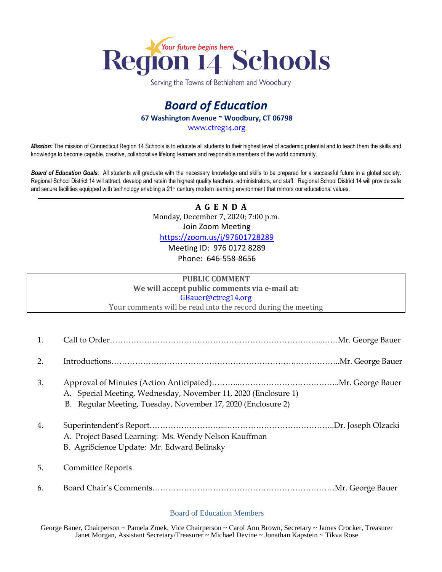

Serving the Towns of Bethlehem and Woodbury

## *Board of Education* **67 Washington Avenue ~ Woodbury, CT 06798**

[www.ctreg14.org](http://www.ctreg14.org/)

*Mission:* The mission of Connecticut Region 14 Schools is to educate all students to their highest level of academic potential and to teach them the skills and knowledge to become capable, creative, collaborative lifelong learners and responsible members of the world community.

*Board of Education Goals:* All students will graduate with the necessary knowledge and skills to be prepared for a successful future in a global society. Regional School District 14 will attract, develop and retain the highest quality teachers, administrators, and staff. Regional School District 14 will provide safe and secure facilities equipped with technology enabling a 21<sup>st</sup> century modern learning environment that mirrors our educational values.

> **A G E N D A** Monday, December 7, 2020; 7:00 p.m.

Join Zoom Meeting

<https://zoom.us/j/97601728289>

Meeting ID: 976 0172 8289 Phone: 646-558-8656

## **PUBLIC COMMENT We will accept public comments via e-mail at:** [GBauer@ctreg14.org](mailto:GBauer@ctreg14.org) Your comments will be read into the record during the meeting

1. Call to Order……………………………………………………………………...……Mr. George Bauer 2. Introductions…………………………………………………………….……………..Mr. George Bauer 3. Approval of Minutes (Action Anticipated)………..………………………………..Mr. George Bauer A. Special Meeting, Wednesday, November 11, 2020 (Enclosure 1) B. Regular Meeting, Tuesday, November 17, 2020 (Enclosure 2) 4. Superintendent's Report………………………...…………………………………..Dr. Joseph Olzacki A. Project Based Learning: Ms. Wendy Nelson Kauffman B. AgriScience Update: Mr. Edward Belinsky 5. Committee Reports 6. Board Chair's Comments……………………………………………………………Mr. George Bauer

## Board of Education Members

George Bauer, Chairperson ~ Pamela Zmek, Vice Chairperson ~ Carol Ann Brown, Secretary ~ James Crocker, Treasurer Janet Morgan, Assistant Secretary/Treasurer ~ Michael Devine ~ Jonathan Kapstein ~ Tikva Rose